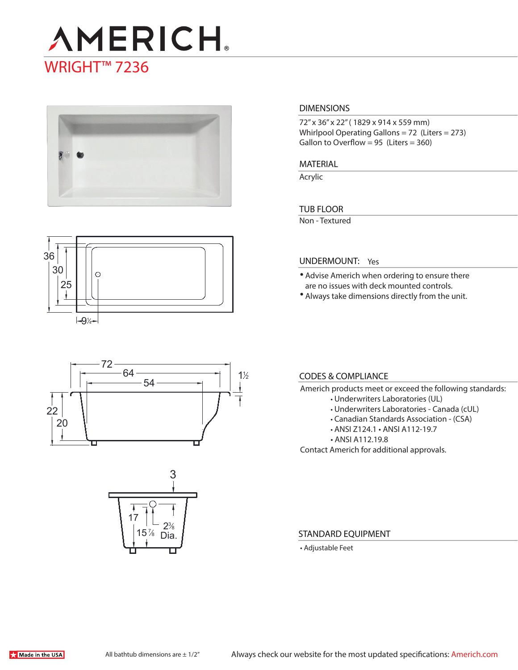# **AMERICH** WRIGHT<sup>™</sup> 7236



## **DIMENSIONS**

72" x 36" x 22" ( 1829 x 914 x 559 mm) Whirlpool Operating Gallons = 72 (Liters = 273) Gallon to Overflow =  $95$  (Liters =  $360$ )

#### **MATERIAL**

Acrylic

#### **TUB FLOOR**

Non - Textured







#### **UNDERMOUNT:** Yes

- Advise Americh when ordering to ensure there are no issues with deck mounted controls.
- Always take dimensions directly from the unit.

#### **CODES & COMPLIANCE**

- Americh products meet or exceed the following standards:
	- Underwriters Laboratories (UL)
	- Underwriters Laboratories Canada (cUL)
	- Canadian Standards Association (CSA)
	- ANSI Z124.1 ANSI A112-19.7
	- ANSI A112.19.8

Contact Americh for additional approvals.

#### **STANDARD EQUIPMENT**

• Adjustable Feet